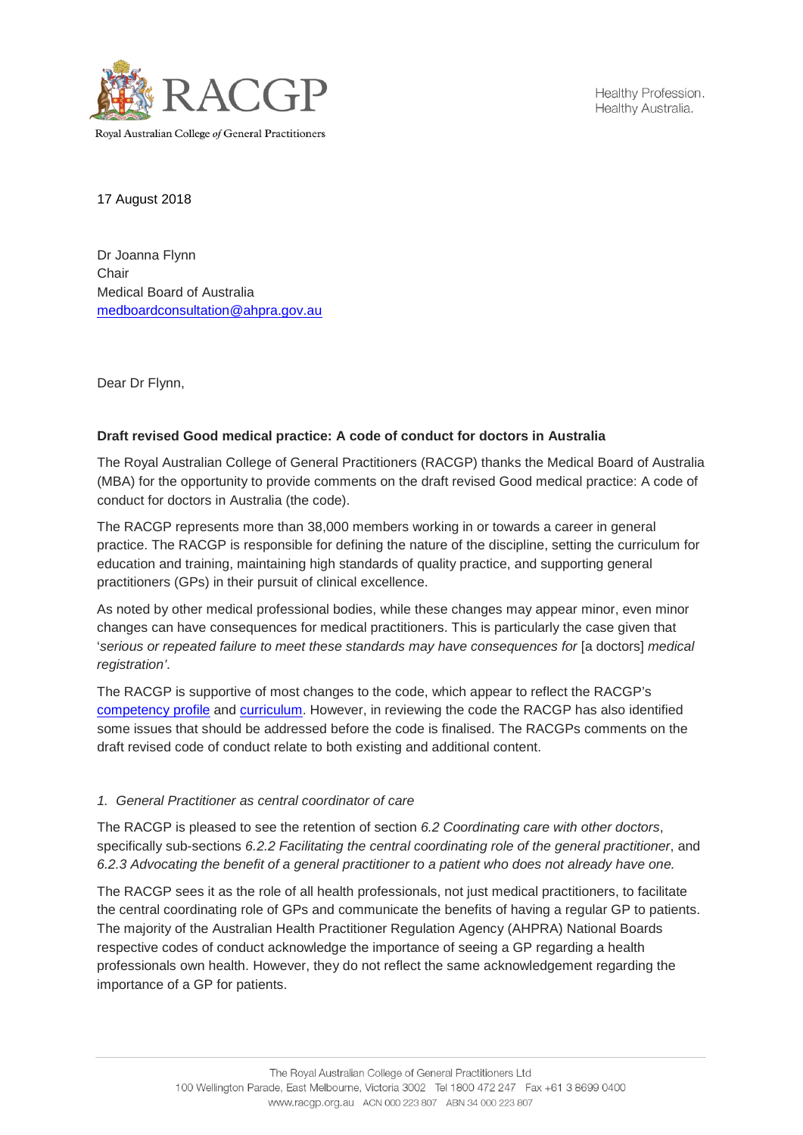

Healthy Profession. Healthy Australia.

17 August 2018

Dr Joanna Flynn **Chair** Medical Board of Australia [medboardconsultation@ahpra.gov.au](mailto:medboardconsultation@ahpra.gov.au)

Dear Dr Flynn,

# **Draft revised Good medical practice: A code of conduct for doctors in Australia**

The Royal Australian College of General Practitioners (RACGP) thanks the Medical Board of Australia (MBA) for the opportunity to provide comments on the draft revised Good medical practice: A code of conduct for doctors in Australia (the code).

The RACGP represents more than 38,000 members working in or towards a career in general practice. The RACGP is responsible for defining the nature of the discipline, setting the curriculum for education and training, maintaining high standards of quality practice, and supporting general practitioners (GPs) in their pursuit of clinical excellence.

As noted by other medical professional bodies, while these changes may appear minor, even minor changes can have consequences for medical practitioners. This is particularly the case given that '*serious or repeated failure to meet these standards may have consequences for* [a doctors] *medical registration'*.

The RACGP is supportive of most changes to the code, which appear to reflect the RACGP's [competency profile](https://www.racgp.org.au/education/competency/) and [curriculum.](https://www.racgp.org.au/education/curriculum/) However, in reviewing the code the RACGP has also identified some issues that should be addressed before the code is finalised. The RACGPs comments on the draft revised code of conduct relate to both existing and additional content.

## *1. General Practitioner as central coordinator of care*

The RACGP is pleased to see the retention of section *6.2 Coordinating care with other doctors*, specifically sub-sections *6.2.2 Facilitating the central coordinating role of the general practitioner*, and *6.2.3 Advocating the benefit of a general practitioner to a patient who does not already have one.*

The RACGP sees it as the role of all health professionals, not just medical practitioners, to facilitate the central coordinating role of GPs and communicate the benefits of having a regular GP to patients. The majority of the Australian Health Practitioner Regulation Agency (AHPRA) National Boards respective codes of conduct acknowledge the importance of seeing a GP regarding a health professionals own health. However, they do not reflect the same acknowledgement regarding the importance of a GP for patients.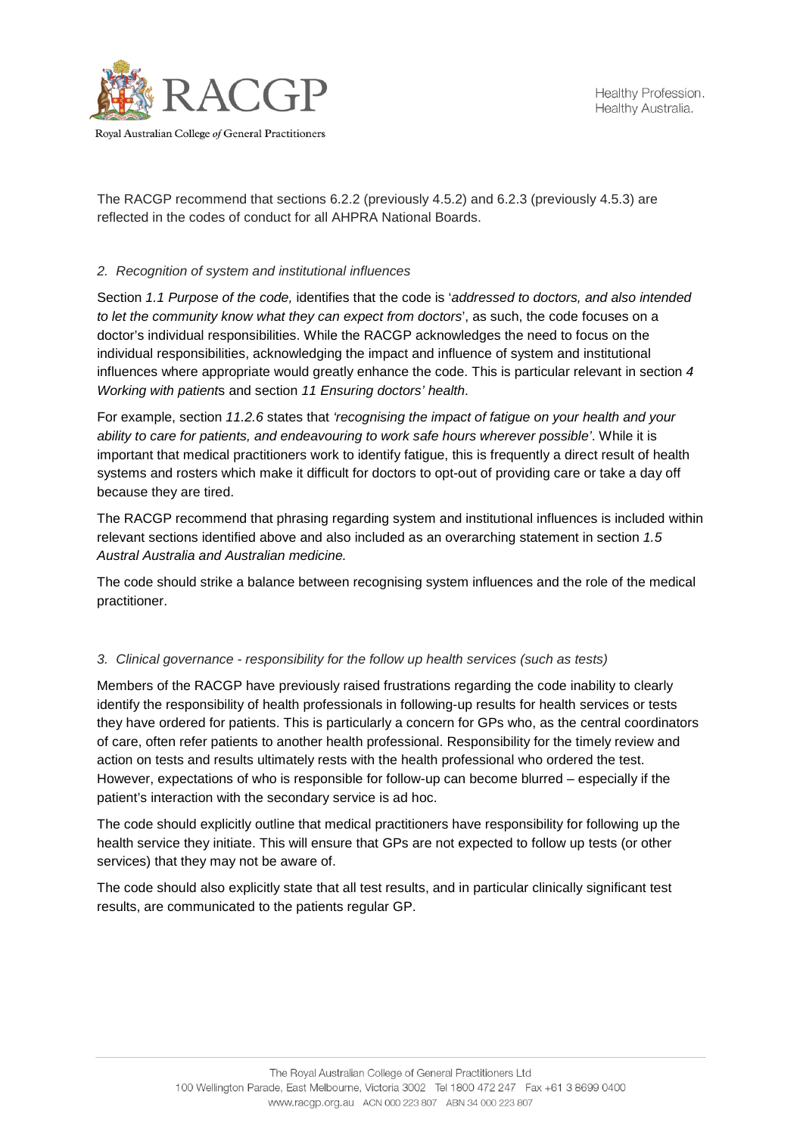

The RACGP recommend that sections 6.2.2 (previously 4.5.2) and 6.2.3 (previously 4.5.3) are reflected in the codes of conduct for all AHPRA National Boards.

# *2. Recognition of system and institutional influences*

Section *1.1 Purpose of the code,* identifies that the code is '*addressed to doctors, and also intended to let the community know what they can expect from doctors*', as such, the code focuses on a doctor's individual responsibilities. While the RACGP acknowledges the need to focus on the individual responsibilities, acknowledging the impact and influence of system and institutional influences where appropriate would greatly enhance the code. This is particular relevant in section *4 Working with patient*s and section *11 Ensuring doctors' health*.

For example, section *11.2.6* states that *'recognising the impact of fatigue on your health and your ability to care for patients, and endeavouring to work safe hours wherever possible'*. While it is important that medical practitioners work to identify fatigue, this is frequently a direct result of health systems and rosters which make it difficult for doctors to opt-out of providing care or take a day off because they are tired.

The RACGP recommend that phrasing regarding system and institutional influences is included within relevant sections identified above and also included as an overarching statement in section *1.5 Austral Australia and Australian medicine.*

The code should strike a balance between recognising system influences and the role of the medical practitioner.

## *3. Clinical governance - responsibility for the follow up health services (such as tests)*

Members of the RACGP have previously raised frustrations regarding the code inability to clearly identify the responsibility of health professionals in following-up results for health services or tests they have ordered for patients. This is particularly a concern for GPs who, as the central coordinators of care, often refer patients to another health professional. Responsibility for the timely review and action on tests and results ultimately rests with the health professional who ordered the test. However, expectations of who is responsible for follow-up can become blurred – especially if the patient's interaction with the secondary service is ad hoc.

The code should explicitly outline that medical practitioners have responsibility for following up the health service they initiate. This will ensure that GPs are not expected to follow up tests (or other services) that they may not be aware of.

The code should also explicitly state that all test results, and in particular clinically significant test results, are communicated to the patients regular GP.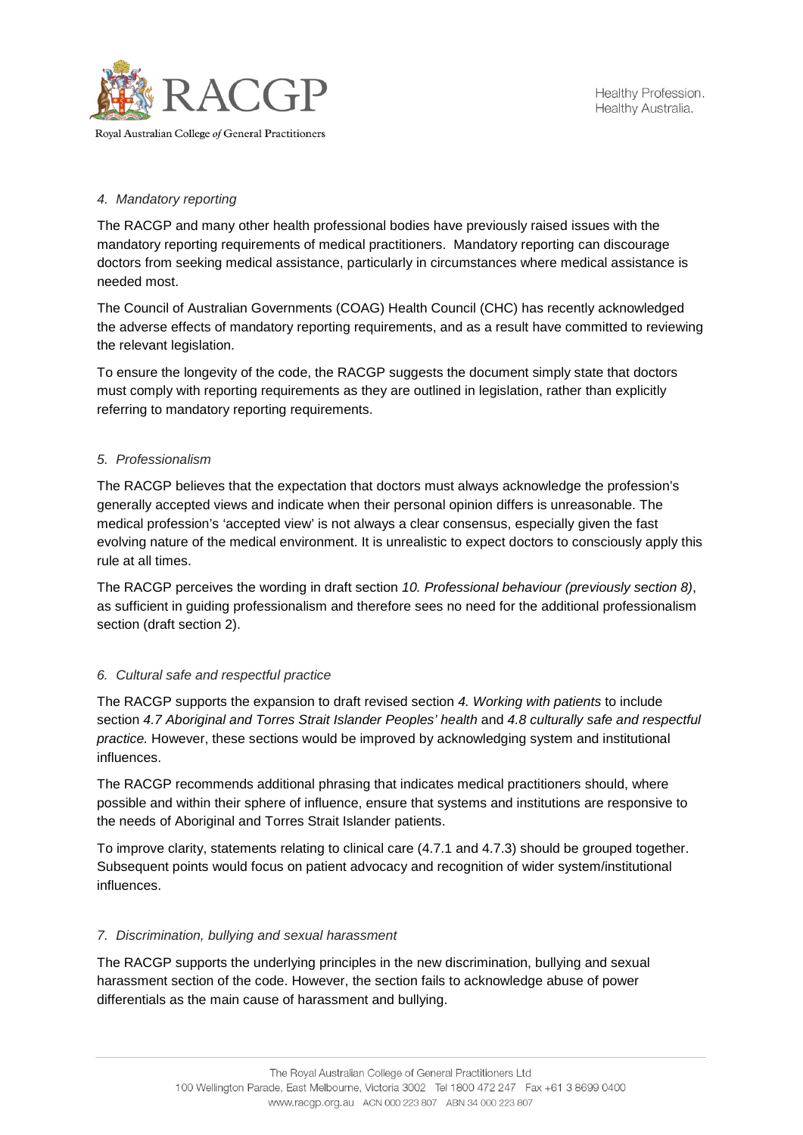

# *4. Mandatory reporting*

The RACGP and many other health professional bodies have previously raised issues with the mandatory reporting requirements of medical practitioners. Mandatory reporting can discourage doctors from seeking medical assistance, particularly in circumstances where medical assistance is needed most.

The Council of Australian Governments (COAG) Health Council (CHC) has recently acknowledged the adverse effects of mandatory reporting requirements, and as a result have committed to reviewing the relevant legislation.

To ensure the longevity of the code, the RACGP suggests the document simply state that doctors must comply with reporting requirements as they are outlined in legislation, rather than explicitly referring to mandatory reporting requirements.

# *5. Professionalism*

The RACGP believes that the expectation that doctors must always acknowledge the profession's generally accepted views and indicate when their personal opinion differs is unreasonable. The medical profession's 'accepted view' is not always a clear consensus, especially given the fast evolving nature of the medical environment. It is unrealistic to expect doctors to consciously apply this rule at all times.

The RACGP perceives the wording in draft section *10. Professional behaviour (previously section 8)*, as sufficient in guiding professionalism and therefore sees no need for the additional professionalism section (draft section 2).

## *6. Cultural safe and respectful practice*

The RACGP supports the expansion to draft revised section *4. Working with patients* to include section *4.7 Aboriginal and Torres Strait Islander Peoples' health* and *4.8 culturally safe and respectful practice.* However, these sections would be improved by acknowledging system and institutional influences.

The RACGP recommends additional phrasing that indicates medical practitioners should, where possible and within their sphere of influence, ensure that systems and institutions are responsive to the needs of Aboriginal and Torres Strait Islander patients.

To improve clarity, statements relating to clinical care (4.7.1 and 4.7.3) should be grouped together. Subsequent points would focus on patient advocacy and recognition of wider system/institutional influences.

## *7. Discrimination, bullying and sexual harassment*

The RACGP supports the underlying principles in the new discrimination, bullying and sexual harassment section of the code. However, the section fails to acknowledge abuse of power differentials as the main cause of harassment and bullying.